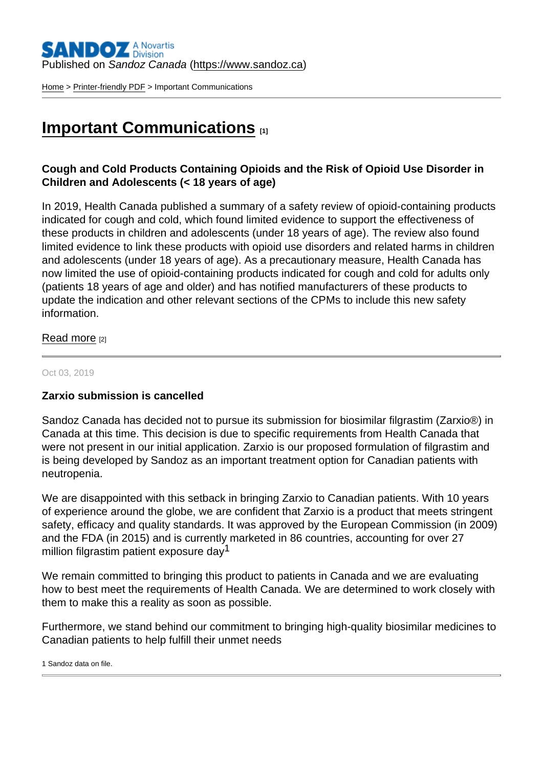Published on Sandoz Canada [\(https://www.sandoz.ca](https://www.sandoz.ca))

[Home](https://www.sandoz.ca/en) > [Printer-friendly PDF](https://www.sandoz.ca/en/printpdf) > Important Communications

## [Important Communications](https://www.sandoz.ca/en/important-communications) [1]

Cough and Cold Products Containing Opioids and the Risk of Opioid Use Disorder in Children and Adolescents (< 18 years of age)

In 2019, Health Canada published a summary of a safety review of opioid-containing products indicated for cough and cold, which found limited evidence to support the effectiveness of these products in children and adolescents (under 18 years of age). The review also found limited evidence to link these products with opioid use disorders and related harms in children and adolescents (under 18 years of age). As a precautionary measure, Health Canada has now limited the use of opioid-containing products indicated for cough and cold for adults only (patients 18 years of age and older) and has notified manufacturers of these products to update the indication and other relevant sections of the CPMs to include this new safety information.

[Read more](https://www.sandoz.ca/sites/www.sandoz.ca/files/13912-Final HPRC V3.0 Cough and Cold Health Canada approved_Clean with box_Signed.pdf) [2]

## Oct 03, 2019

Zarxio submission is cancelled

Sandoz Canada has decided not to pursue its submission for biosimilar filgrastim (Zarxio®) in Canada at this time. This decision is due to specific requirements from Health Canada that were not present in our initial application. Zarxio is our proposed formulation of filgrastim and is being developed by Sandoz as an important treatment option for Canadian patients with neutropenia.

We are disappointed with this setback in bringing Zarxio to Canadian patients. With 10 years of experience around the globe, we are confident that Zarxio is a product that meets stringent safety, efficacy and quality standards. It was approved by the European Commission (in 2009) and the FDA (in 2015) and is currently marketed in 86 countries, accounting for over 27 million filgrastim patient exposure day<sup>1</sup>

We remain committed to bringing this product to patients in Canada and we are evaluating how to best meet the requirements of Health Canada. We are determined to work closely with them to make this a reality as soon as possible.

Furthermore, we stand behind our commitment to bringing high-quality biosimilar medicines to Canadian patients to help fulfill their unmet needs

1 Sandoz data on file.